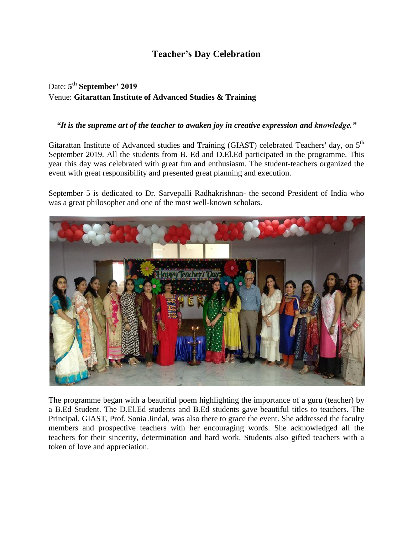## **Teacher's Day Celebration**

## Date: **5 th September' 2019** Venue: **Gitarattan Institute of Advanced Studies & Training**

## *"It is the supreme art of the teacher to awaken joy in creative expression and knowledge."*

Gitarattan Institute of Advanced studies and Training (GIAST) celebrated Teachers' day, on 5<sup>th</sup> September 2019. All the students from B. Ed and D.El.Ed participated in the programme. This year this day was celebrated with great fun and enthusiasm. The student-teachers organized the event with great responsibility and presented great planning and execution.

September 5 is dedicated to Dr. Sarvepalli Radhakrishnan- the second President of India who was a great philosopher and one of the most well-known scholars.



The programme began with a beautiful poem highlighting the importance of a guru (teacher) by a B.Ed Student. The D.El.Ed students and B.Ed students gave beautiful titles to teachers. The Principal, GIAST, Prof. Sonia Jindal, was also there to grace the event. She addressed the faculty members and prospective teachers with her encouraging words. She acknowledged all the teachers for their sincerity, determination and hard work. Students also gifted teachers with a token of love and appreciation.